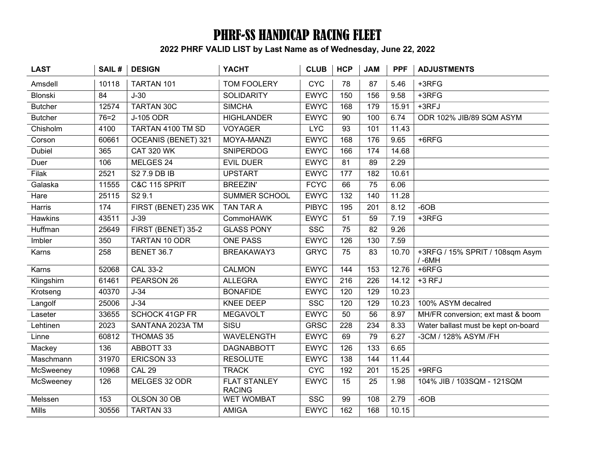## PHRF-SS HANDICAP RACING FLEET

2022 PHRF VALID LIST by Last Name as of Wednesday, June 22, 2022

| <b>LAST</b>    | SAIL#  | <b>DESIGN</b>            | <b>YACHT</b>                         | <b>CLUB</b>  | <b>HCP</b>       | <b>JAM</b>       | <b>PPF</b> | <b>ADJUSTMENTS</b>                           |
|----------------|--------|--------------------------|--------------------------------------|--------------|------------------|------------------|------------|----------------------------------------------|
| Amsdell        | 10118  | TARTAN 101               | TOM FOOLERY                          | <b>CYC</b>   | 78               | 87               | 5.46       | $+3RFG$                                      |
| Blonski        | 84     | $J-30$                   | <b>SOLIDARITY</b>                    | <b>EWYC</b>  | 150              | 156              | 9.58       | $+3RFG$                                      |
| <b>Butcher</b> | 12574  | <b>TARTAN 30C</b>        | <b>SIMCHA</b>                        | <b>EWYC</b>  | 168              | 179              | 15.91      | $+3RFJ$                                      |
| <b>Butcher</b> | $76=2$ | <b>J-105 ODR</b>         | <b>HIGHLANDER</b>                    | <b>EWYC</b>  | 90               | 100              | 6.74       | ODR 102% JIB/89 SQM ASYM                     |
| Chisholm       | 4100   | TARTAN 4100 TM SD        | <b>VOYAGER</b>                       | <b>LYC</b>   | 93               | 101              | 11.43      |                                              |
| Corson         | 60661  | OCEANIS (BENET) 321      | MOYA-MANZI                           | <b>EWYC</b>  | 168              | 176              | 9.65       | $+6$ RFG                                     |
| <b>Dubiel</b>  | 365    | <b>CAT 320 WK</b>        | <b>SNIPERDOG</b>                     | <b>EWYC</b>  | 166              | 174              | 14.68      |                                              |
| Duer           | 106    | MELGES 24                | <b>EVIL DUER</b>                     | <b>EWYC</b>  | $\overline{81}$  | $\overline{89}$  | 2.29       |                                              |
| Filak          | 2521   | S2 7.9 DB IB             | <b>UPSTART</b>                       | <b>EWYC</b>  | 177              | 182              | 10.61      |                                              |
| Galaska        | 11555  | <b>C&amp;C 115 SPRIT</b> | <b>BREEZIN'</b>                      | <b>FCYC</b>  | 66               | 75               | 6.06       |                                              |
| Hare           | 25115  | S29.1                    | <b>SUMMER SCHOOL</b>                 | <b>EWYC</b>  | $\overline{132}$ | 140              | 11.28      |                                              |
| Harris         | 174    | FIRST (BENET) 235 WK     | <b>TAN TAR A</b>                     | <b>PIBYC</b> | 195              | 201              | 8.12       | $-6OB$                                       |
| Hawkins        | 43511  | $J-39$                   | CommoHAWK                            | <b>EWYC</b>  | 51               | 59               | 7.19       | $+3RFG$                                      |
| Huffman        | 25649  | FIRST (BENET) 35-2       | <b>GLASS PONY</b>                    | <b>SSC</b>   | 75               | 82               | 9.26       |                                              |
| Imbler         | 350    | <b>TARTAN 10 ODR</b>     | <b>ONE PASS</b>                      | <b>EWYC</b>  | 126              | 130              | 7.59       |                                              |
| Karns          | 258    | <b>BENET 36.7</b>        | BREAKAWAY3                           | <b>GRYC</b>  | 75               | 83               | 10.70      | +3RFG / 15% SPRIT / 108sqm Asym<br>$/ -6$ MH |
| Karns          | 52068  | <b>CAL 33-2</b>          | CALMON                               | <b>EWYC</b>  | 144              | 153              | 12.76      | $+6$ RFG                                     |
| Klingshirn     | 61461  | PEARSON 26               | <b>ALLEGRA</b>                       | <b>EWYC</b>  | $\overline{216}$ | $\overline{226}$ | 14.12      | $+3$ RFJ                                     |
| Krotseng       | 40370  | $J-34$                   | <b>BONAFIDE</b>                      | <b>EWYC</b>  | 120              | $\overline{129}$ | 10.23      |                                              |
| Langolf        | 25006  | $J-34$                   | <b>KNEE DEEP</b>                     | <b>SSC</b>   | 120              | 129              | 10.23      | 100% ASYM decalred                           |
| Laseter        | 33655  | <b>SCHOCK 41GP FR</b>    | <b>MEGAVOLT</b>                      | <b>EWYC</b>  | 50               | 56               | 8.97       | MH/FR conversion; ext mast & boom            |
| Lehtinen       | 2023   | SANTANA 2023A TM         | <b>SISU</b>                          | <b>GRSC</b>  | $\overline{228}$ | 234              | 8.33       | Water ballast must be kept on-board          |
| Linne          | 60812  | <b>THOMAS 35</b>         | <b>WAVELENGTH</b>                    | <b>EWYC</b>  | 69               | 79               | 6.27       | -3CM / 128% ASYM /FH                         |
| Mackey         | 136    | ABBOTT 33                | <b>DAGNABBOTT</b>                    | <b>EWYC</b>  | 126              | 133              | 6.65       |                                              |
| Maschmann      | 31970  | <b>ERICSON 33</b>        | <b>RESOLUTE</b>                      | <b>EWYC</b>  | 138              | 144              | 11.44      |                                              |
| McSweeney      | 10968  | <b>CAL 29</b>            | <b>TRACK</b>                         | <b>CYC</b>   | 192              | 201              | 15.25      | $+9RFG$                                      |
| McSweeney      | 126    | MELGES 32 ODR            | <b>FLAT STANLEY</b><br><b>RACING</b> | <b>EWYC</b>  | 15               | 25               | 1.98       | 104% JIB / 103SQM - 121SQM                   |
| Melssen        | 153    | OLSON 30 OB              | <b>WET WOMBAT</b>                    | <b>SSC</b>   | 99               | 108              | 2.79       | $-6OB$                                       |
| <b>Mills</b>   | 30556  | <b>TARTAN 33</b>         | <b>AMIGA</b>                         | <b>EWYC</b>  | 162              | 168              | 10.15      |                                              |